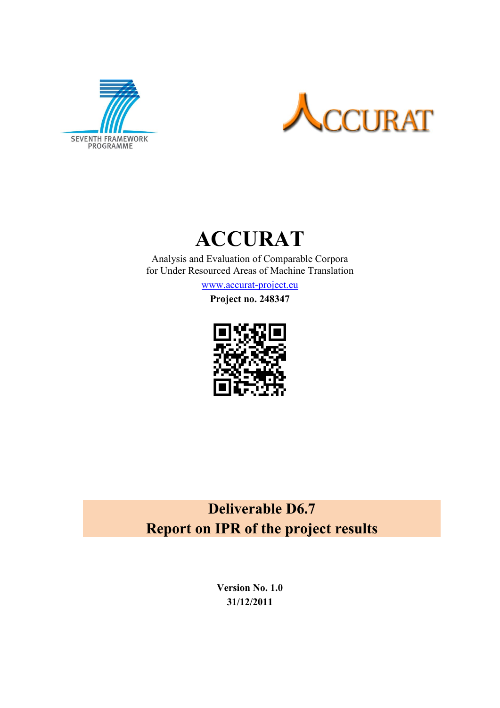



# **ACCURAT**

Analysis and Evaluation of Comparable Corpora for Under Resourced Areas of Machine Translation

[www.accurat-project.eu](http://www.accurat-project.eu/)

**Project no. 248347**



# **Deliverable D6.7 Report on IPR of the project results**

**Version No. 1.0 31/12/2011**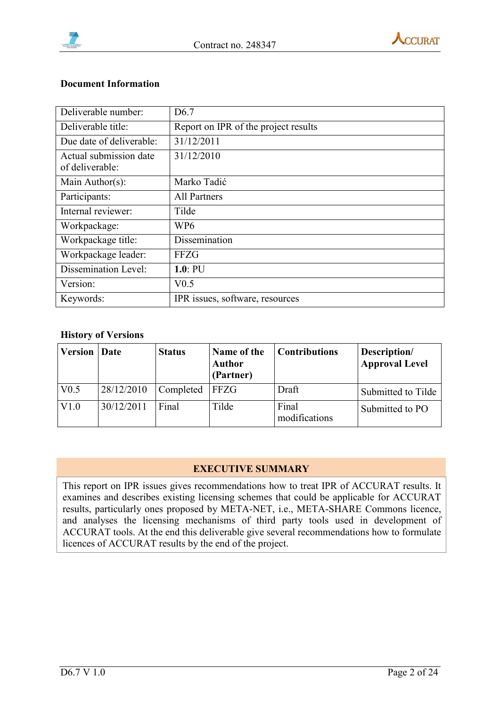



#### **Document Information**

| Deliverable number:                       | D <sub>6.7</sub>                     |
|-------------------------------------------|--------------------------------------|
| Deliverable title:                        | Report on IPR of the project results |
| Due date of deliverable:                  | 31/12/2011                           |
| Actual submission date<br>of deliverable: | 31/12/2010                           |
| Main Author(s):                           | Marko Tadić                          |
| Participants:                             | <b>All Partners</b>                  |
| Internal reviewer:                        | Tilde                                |
| Workpackage:                              | WP <sub>6</sub>                      |
| Workpackage title:                        | Dissemination                        |
| Workpackage leader:                       | FFZG                                 |
| Dissemination Level:                      | $1.0:$ PU                            |
| Version:                                  | V <sub>0.5</sub>                     |
| Keywords:                                 | IPR issues, software, resources      |

#### **History of Versions**

| <b>Version</b>   | Date       | <b>Status</b> | Name of the<br><b>Author</b><br>(Partner) | <b>Contributions</b>   | Description/<br><b>Approval Level</b> |
|------------------|------------|---------------|-------------------------------------------|------------------------|---------------------------------------|
| V <sub>0.5</sub> | 28/12/2010 | Completed     | <b>FFZG</b>                               | Draft                  | Submitted to Tilde                    |
| V1.0             | 30/12/2011 | Final         | Tilde                                     | Final<br>modifications | Submitted to PO                       |

#### **EXECUTIVE SUMMARY**

This report on IPR issues gives recommendations how to treat IPR of ACCURAT results. It examines and describes existing licensing schemes that could be applicable for ACCURAT results, particularly ones proposed by META-NET, i.e., META-SHARE Commons licence, and analyses the licensing mechanisms of third party tools used in development of ACCURAT tools. At the end this deliverable give several recommendations how to formulate licences of ACCURAT results by the end of the project.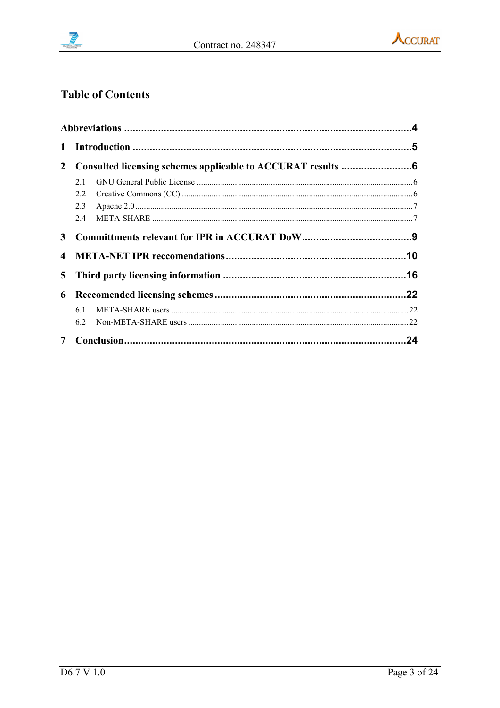



# **Table of Contents**

| $\mathbf{1}$   |     |  |
|----------------|-----|--|
| $\mathbf{2}$   |     |  |
|                | 2.1 |  |
|                | 2.2 |  |
|                | 2.3 |  |
|                | 2.4 |  |
| 3              |     |  |
| $\overline{4}$ |     |  |
| 5 <sup>5</sup> |     |  |
| 6              |     |  |
|                | 6.1 |  |
|                | 6.2 |  |
|                |     |  |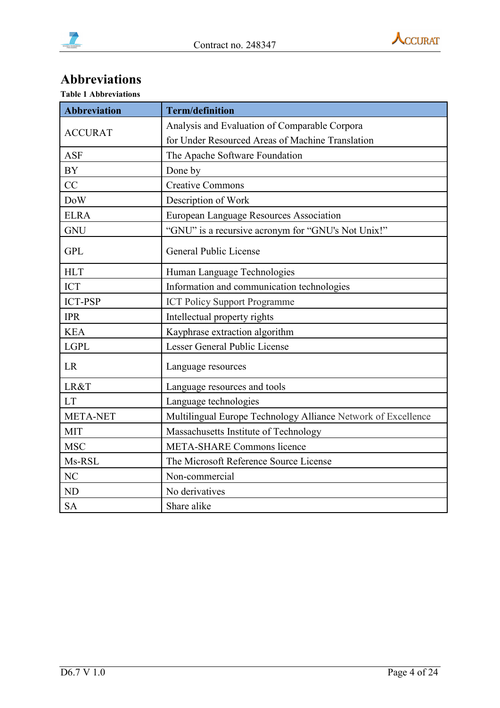



# <span id="page-3-0"></span>**Abbreviations**

| <b>Abbreviation</b> | <b>Term/definition</b>                                        |  |  |  |  |
|---------------------|---------------------------------------------------------------|--|--|--|--|
|                     | Analysis and Evaluation of Comparable Corpora                 |  |  |  |  |
| <b>ACCURAT</b>      | for Under Resourced Areas of Machine Translation              |  |  |  |  |
| <b>ASF</b>          | The Apache Software Foundation                                |  |  |  |  |
| <b>BY</b>           | Done by                                                       |  |  |  |  |
| CC                  | <b>Creative Commons</b>                                       |  |  |  |  |
| <b>DoW</b>          | Description of Work                                           |  |  |  |  |
| <b>ELRA</b>         | <b>European Language Resources Association</b>                |  |  |  |  |
| <b>GNU</b>          | "GNU" is a recursive acronym for "GNU's Not Unix!"            |  |  |  |  |
| <b>GPL</b>          | General Public License                                        |  |  |  |  |
| <b>HLT</b>          | Human Language Technologies                                   |  |  |  |  |
| <b>ICT</b>          | Information and communication technologies                    |  |  |  |  |
| <b>ICT-PSP</b>      | <b>ICT Policy Support Programme</b>                           |  |  |  |  |
| <b>IPR</b>          | Intellectual property rights                                  |  |  |  |  |
| <b>KEA</b>          | Kayphrase extraction algorithm                                |  |  |  |  |
| <b>LGPL</b>         | Lesser General Public License                                 |  |  |  |  |
| <b>LR</b>           | Language resources                                            |  |  |  |  |
| LR&T                | Language resources and tools                                  |  |  |  |  |
| <b>LT</b>           | Language technologies                                         |  |  |  |  |
| <b>META-NET</b>     | Multilingual Europe Technology Alliance Network of Excellence |  |  |  |  |
| <b>MIT</b>          | Massachusetts Institute of Technology                         |  |  |  |  |
| <b>MSC</b>          | <b>META-SHARE Commons licence</b>                             |  |  |  |  |
| Ms-RSL              | The Microsoft Reference Source License                        |  |  |  |  |
| NC                  | Non-commercial                                                |  |  |  |  |
| N <sub>D</sub>      | No derivatives                                                |  |  |  |  |
| <b>SA</b>           | Share alike                                                   |  |  |  |  |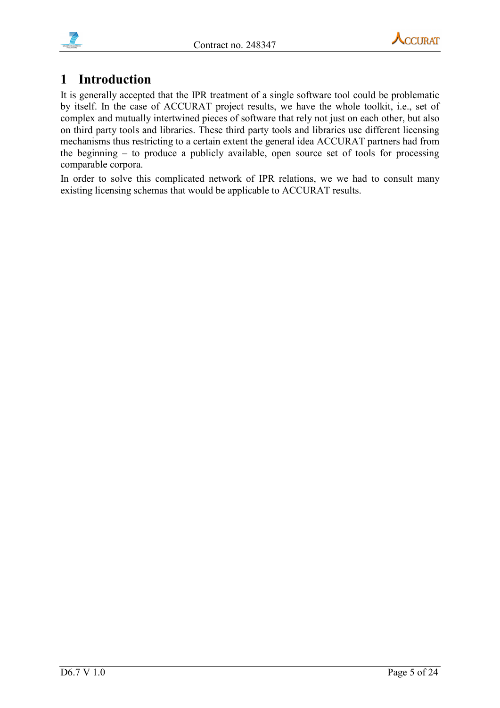





# <span id="page-4-0"></span>**1 Introduction**

It is generally accepted that the IPR treatment of a single software tool could be problematic by itself. In the case of ACCURAT project results, we have the whole toolkit, i.e., set of complex and mutually intertwined pieces of software that rely not just on each other, but also on third party tools and libraries. These third party tools and libraries use different licensing mechanisms thus restricting to a certain extent the general idea ACCURAT partners had from the beginning – to produce a publicly available, open source set of tools for processing comparable corpora.

In order to solve this complicated network of IPR relations, we we had to consult many existing licensing schemas that would be applicable to ACCURAT results.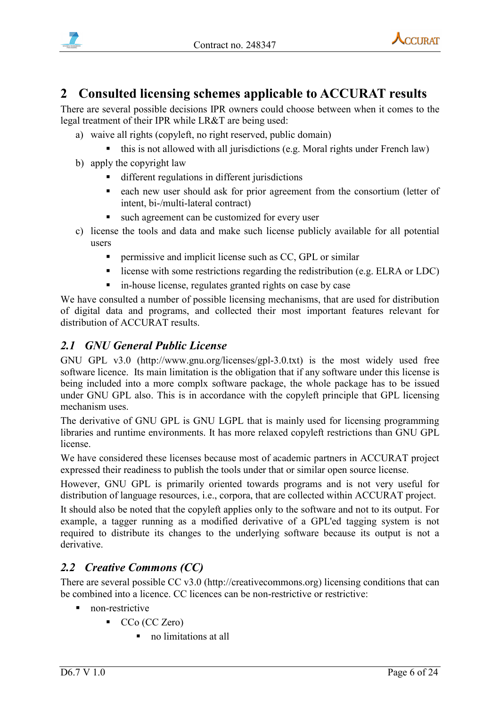



# <span id="page-5-0"></span>**2 Consulted licensing schemes applicable to ACCURAT results**

There are several possible decisions IPR owners could choose between when it comes to the legal treatment of their IPR while LR&T are being used:

- a) waive all rights (copyleft, no right reserved, public domain)
	- this is not allowed with all jurisdictions (e.g. Moral rights under French law)
- b) apply the copyright law
	- different regulations in different jurisdictions
	- each new user should ask for prior agreement from the consortium (letter of intent, bi-/multi-lateral contract)
	- such agreement can be customized for every user
- c) license the tools and data and make such license publicly available for all potential users
	- permissive and implicit license such as CC, GPL or similar
	- license with some restrictions regarding the redistribution (e.g. ELRA or LDC)
	- in-house license, regulates granted rights on case by case

We have consulted a number of possible licensing mechanisms, that are used for distribution of digital data and programs, and collected their most important features relevant for distribution of ACCURAT results.

## <span id="page-5-1"></span>*2.1 GNU General Public License*

GNU GPL v3.0 (http://www.gnu.org/licenses/gpl-3.0.txt) is the most widely used free software licence. Its main limitation is the obligation that if any software under this license is being included into a more complx software package, the whole package has to be issued under GNU GPL also. This is in accordance with the copyleft principle that GPL licensing mechanism uses.

The derivative of GNU GPL is GNU LGPL that is mainly used for licensing programming libraries and runtime environments. It has more relaxed copyleft restrictions than GNU GPL license.

We have considered these licenses because most of academic partners in ACCURAT project expressed their readiness to publish the tools under that or similar open source license.

However, GNU GPL is primarily oriented towards programs and is not very useful for distribution of language resources, i.e., corpora, that are collected within ACCURAT project.

It should also be noted that the copyleft applies only to the software and not to its output. For example, a tagger running as a modified derivative of a GPL'ed tagging system is not required to distribute its changes to the underlying software because its output is not a derivative.

## <span id="page-5-2"></span>*2.2 Creative Commons (CC)*

There are several possible CC v3.0 (http://creativecommons.org) licensing conditions that can be combined into a licence. CC licences can be non-restrictive or restrictive:

- non-restrictive
	- CCo (CC Zero)
		- no limitations at all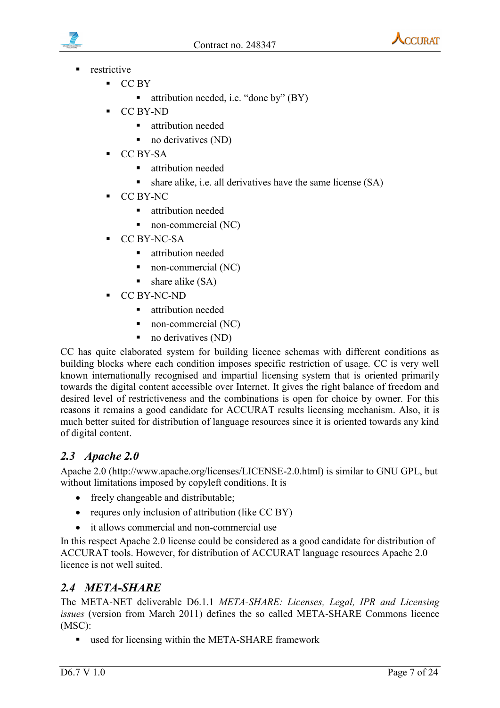



- restrictive
	- $CC BY$ 
		- attribution needed, i.e. "done by" (BY)
	- CC BY-ND
		- **E** attribution needed
		- no derivatives (ND)
	- CC BY-SA
		- **E** attribution needed
		- $\blacksquare$  share alike, i.e. all derivatives have the same license (SA)
	- CC BY-NC
		- **E** attribution needed
		- non-commercial (NC)
	- CC BY-NC-SA
		- **Exercise 1** attribution needed
		- non-commercial (NC)
		- $\blacksquare$  share alike (SA)
	- CC BY-NC-ND
		- **E** attribution needed
		- non-commercial (NC)
		- $\blacksquare$  no derivatives (ND)

CC has quite elaborated system for building licence schemas with different conditions as building blocks where each condition imposes specific restriction of usage. CC is very well known internationally recognised and impartial licensing system that is oriented primarily towards the digital content accessible over Internet. It gives the right balance of freedom and desired level of restrictiveness and the combinations is open for choice by owner. For this reasons it remains a good candidate for ACCURAT results licensing mechanism. Also, it is much better suited for distribution of language resources since it is oriented towards any kind of digital content.

#### <span id="page-6-0"></span>*2.3 Apache 2.0*

Apache 2.0 (http://www.apache.org/licenses/LICENSE-2.0.html) is similar to GNU GPL, but without limitations imposed by copyleft conditions. It is

- freely changeable and distributable;
- requres only inclusion of attribution (like CC BY)
- it allows commercial and non-commercial use

In this respect Apache 2.0 license could be considered as a good candidate for distribution of ACCURAT tools. However, for distribution of ACCURAT language resources Apache 2.0 licence is not well suited.

#### <span id="page-6-1"></span>*2.4 META-SHARE*

The META-NET deliverable D6.1.1 *META-SHARE: Licenses, Legal, IPR and Licensing issues* (version from March 2011) defines the so called META-SHARE Commons licence (MSC):

■ used for licensing within the META-SHARE framework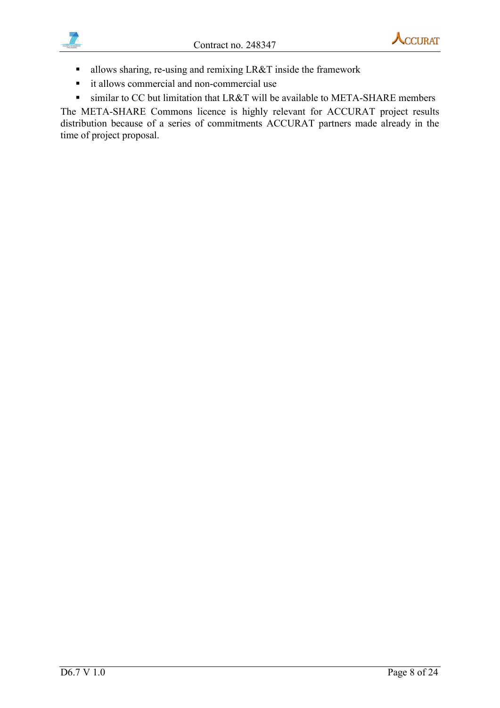



- allows sharing, re-using and remixing LR&T inside the framework
- it allows commercial and non-commercial use
- similar to CC but limitation that LR&T will be available to META-SHARE members

The META-SHARE Commons licence is highly relevant for ACCURAT project results distribution because of a series of commitments ACCURAT partners made already in the time of project proposal.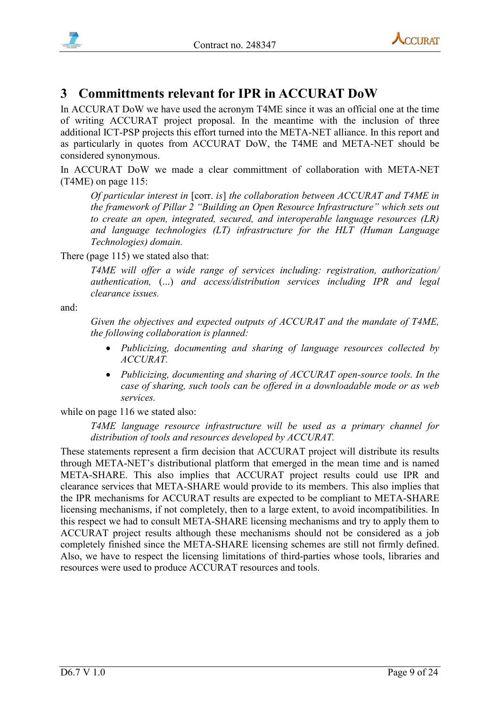



# <span id="page-8-0"></span>**3 Committments relevant for IPR in ACCURAT DoW**

In ACCURAT DoW we have used the acronym T4ME since it was an official one at the time of writing ACCURAT project proposal. In the meantime with the inclusion of three additional ICT-PSP projects this effort turned into the META-NET alliance. In this report and as particularly in quotes from ACCURAT DoW, the T4ME and META-NET should be considered synonymous.

In ACCURAT DoW we made a clear committment of collaboration with META-NET (T4ME) on page 115:

*Of particular interest in* [corr. *is*] *the collaboration between ACCURAT and T4ME in the framework of Pillar 2 "Building an Open Resource Infrastructure" which sets out to create an open, integrated, secured, and interoperable language resources (LR) and language technologies (LT) infrastructure for the HLT (Human Language Technologies) domain.*

There (page 115) we stated also that:

*T4ME will offer a wide range of services including: registration, authorization/ authentication,* (...) *and access/distribution services including IPR and legal clearance issues.*

and:

*Given the objectives and expected outputs of ACCURAT and the mandate of T4ME, the following collaboration is planned:*

- *Publicizing, documenting and sharing of language resources collected by ACCURAT.*
- *Publicizing, documenting and sharing of ACCURAT open-source tools. In the case of sharing, such tools can be offered in a downloadable mode or as web services.*

while on page 116 we stated also:

*T4ME language resource infrastructure will be used as a primary channel for distribution of tools and resources developed by ACCURAT.*

These statements represent a firm decision that ACCURAT project will distribute its results through META-NET's distributional platform that emerged in the mean time and is named META-SHARE. This also implies that ACCURAT project results could use IPR and clearance services that META-SHARE would provide to its members. This also implies that the IPR mechanisms for ACCURAT results are expected to be compliant to META-SHARE licensing mechanisms, if not completely, then to a large extent, to avoid incompatibilities. In this respect we had to consult META-SHARE licensing mechanisms and try to apply them to ACCURAT project results although these mechanisms should not be considered as a job completely finished since the META-SHARE licensing schemes are still not firmly defined. Also, we have to respect the licensing limitations of third-parties whose tools, libraries and resources were used to produce ACCURAT resources and tools.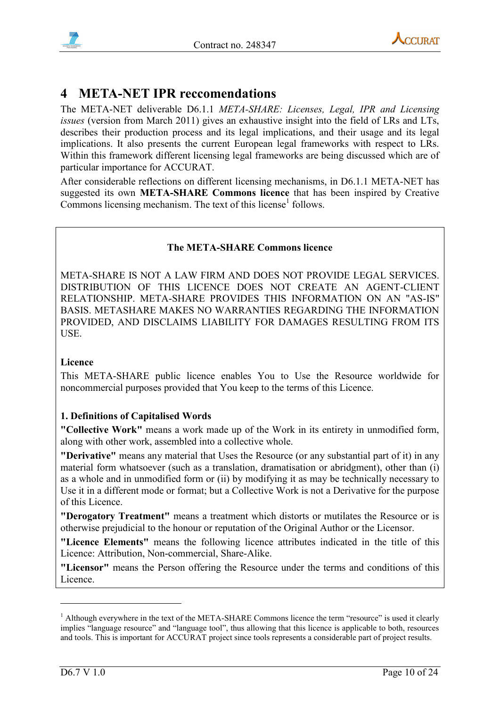



# <span id="page-9-0"></span>**4 META-NET IPR reccomendations**

The META-NET deliverable D6.1.1 *META-SHARE: Licenses, Legal, IPR and Licensing issues* (version from March 2011) gives an exhaustive insight into the field of LRs and LTs, describes their production process and its legal implications, and their usage and its legal implications. It also presents the current European legal frameworks with respect to LRs. Within this framework different licensing legal frameworks are being discussed which are of particular importance for ACCURAT.

After considerable reflections on different licensing mechanisms, in D6.1.1 META-NET has suggested its own **META-SHARE Commons licence** that has been inspired by Creative Commons licensing mechanism. The text of this license<sup>1</sup> follows.

#### **The META-SHARE Commons licence**

META-SHARE IS NOT A LAW FIRM AND DOES NOT PROVIDE LEGAL SERVICES. DISTRIBUTION OF THIS LICENCE DOES NOT CREATE AN AGENT-CLIENT RELATIONSHIP. META-SHARE PROVIDES THIS INFORMATION ON AN "AS-IS" BASIS. METASHARE MAKES NO WARRANTIES REGARDING THE INFORMATION PROVIDED, AND DISCLAIMS LIABILITY FOR DAMAGES RESULTING FROM ITS USE.

#### **Licence**

This META-SHARE public licence enables You to Use the Resource worldwide for noncommercial purposes provided that You keep to the terms of this Licence.

#### **1. Definitions of Capitalised Words**

**"Collective Work"** means a work made up of the Work in its entirety in unmodified form, along with other work, assembled into a collective whole.

**"Derivative"** means any material that Uses the Resource (or any substantial part of it) in any material form whatsoever (such as a translation, dramatisation or abridgment), other than (i) as a whole and in unmodified form or (ii) by modifying it as may be technically necessary to Use it in a different mode or format; but a Collective Work is not a Derivative for the purpose of this Licence.

**"Derogatory Treatment"** means a treatment which distorts or mutilates the Resource or is otherwise prejudicial to the honour or reputation of the Original Author or the Licensor.

**"Licence Elements"** means the following licence attributes indicated in the title of this Licence: Attribution, Non-commercial, Share-Alike.

**"Licensor"** means the Person offering the Resource under the terms and conditions of this Licence.

<u>.</u>

 $<sup>1</sup>$  Although everywhere in the text of the META-SHARE Commons licence the term "resource" is used it clearly</sup> implies "language resource" and "language tool", thus allowing that this licence is applicable to both, resources and tools. This is important for ACCURAT project since tools represents a considerable part of project results.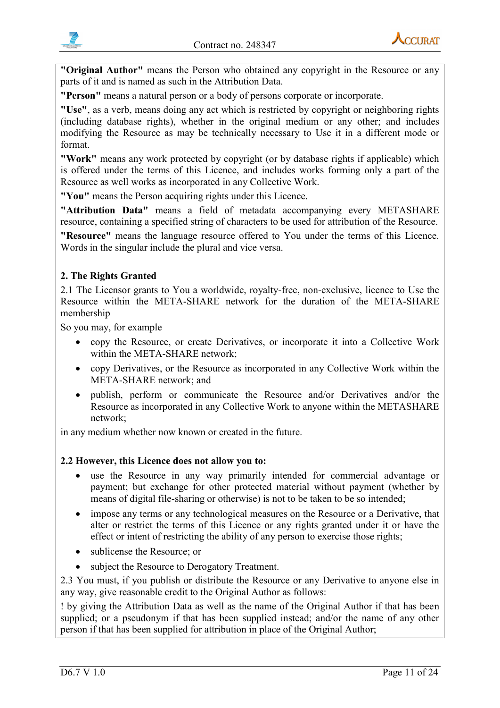

**"Original Author"** means the Person who obtained any copyright in the Resource or any parts of it and is named as such in the Attribution Data.

**"Person"** means a natural person or a body of persons corporate or incorporate.

**"Use"**, as a verb, means doing any act which is restricted by copyright or neighboring rights (including database rights), whether in the original medium or any other; and includes modifying the Resource as may be technically necessary to Use it in a different mode or format.

**"Work"** means any work protected by copyright (or by database rights if applicable) which is offered under the terms of this Licence, and includes works forming only a part of the Resource as well works as incorporated in any Collective Work.

**"You"** means the Person acquiring rights under this Licence.

**"Attribution Data"** means a field of metadata accompanying every METASHARE resource, containing a specified string of characters to be used for attribution of the Resource.

**"Resource"** means the language resource offered to You under the terms of this Licence. Words in the singular include the plural and vice versa.

#### **2. The Rights Granted**

2.1 The Licensor grants to You a worldwide, royalty-free, non-exclusive, licence to Use the Resource within the META-SHARE network for the duration of the META-SHARE membership

So you may, for example

- copy the Resource, or create Derivatives, or incorporate it into a Collective Work within the META-SHARE network;
- copy Derivatives, or the Resource as incorporated in any Collective Work within the META-SHARE network; and
- publish, perform or communicate the Resource and/or Derivatives and/or the Resource as incorporated in any Collective Work to anyone within the METASHARE network;

in any medium whether now known or created in the future.

#### **2.2 However, this Licence does not allow you to:**

- use the Resource in any way primarily intended for commercial advantage or payment; but exchange for other protected material without payment (whether by means of digital file-sharing or otherwise) is not to be taken to be so intended;
- impose any terms or any technological measures on the Resource or a Derivative, that alter or restrict the terms of this Licence or any rights granted under it or have the effect or intent of restricting the ability of any person to exercise those rights;
- sublicense the Resource; or
- subject the Resource to Derogatory Treatment.

2.3 You must, if you publish or distribute the Resource or any Derivative to anyone else in any way, give reasonable credit to the Original Author as follows:

! by giving the Attribution Data as well as the name of the Original Author if that has been supplied; or a pseudonym if that has been supplied instead; and/or the name of any other person if that has been supplied for attribution in place of the Original Author;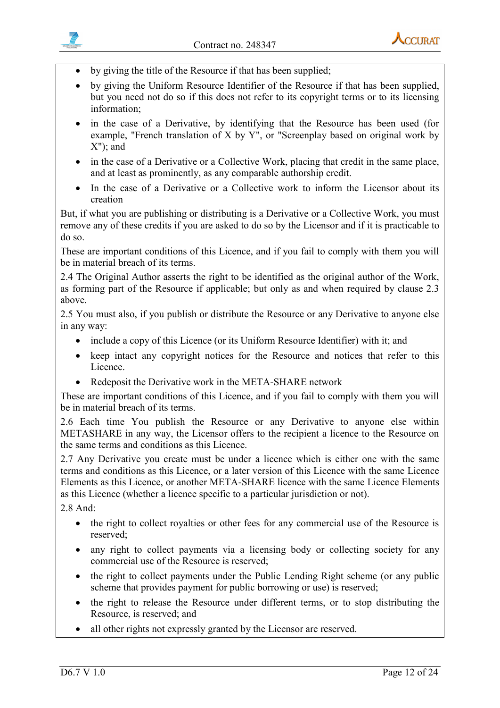

- by giving the title of the Resource if that has been supplied;
- by giving the Uniform Resource Identifier of the Resource if that has been supplied, but you need not do so if this does not refer to its copyright terms or to its licensing information;
- in the case of a Derivative, by identifying that the Resource has been used (for example, "French translation of X by Y", or "Screenplay based on original work by  $X$ "); and
- in the case of a Derivative or a Collective Work, placing that credit in the same place, and at least as prominently, as any comparable authorship credit.
- In the case of a Derivative or a Collective work to inform the Licensor about its creation

But, if what you are publishing or distributing is a Derivative or a Collective Work, you must remove any of these credits if you are asked to do so by the Licensor and if it is practicable to do so.

These are important conditions of this Licence, and if you fail to comply with them you will be in material breach of its terms.

2.4 The Original Author asserts the right to be identified as the original author of the Work, as forming part of the Resource if applicable; but only as and when required by clause 2.3 above.

2.5 You must also, if you publish or distribute the Resource or any Derivative to anyone else in any way:

- include a copy of this Licence (or its Uniform Resource Identifier) with it; and
- keep intact any copyright notices for the Resource and notices that refer to this Licence.
- Redeposit the Derivative work in the META-SHARE network

These are important conditions of this Licence, and if you fail to comply with them you will be in material breach of its terms.

2.6 Each time You publish the Resource or any Derivative to anyone else within METASHARE in any way, the Licensor offers to the recipient a licence to the Resource on the same terms and conditions as this Licence.

2.7 Any Derivative you create must be under a licence which is either one with the same terms and conditions as this Licence, or a later version of this Licence with the same Licence Elements as this Licence, or another META-SHARE licence with the same Licence Elements as this Licence (whether a licence specific to a particular jurisdiction or not).

2.8 And:

- the right to collect royalties or other fees for any commercial use of the Resource is reserved;
- any right to collect payments via a licensing body or collecting society for any commercial use of the Resource is reserved;
- the right to collect payments under the Public Lending Right scheme (or any public scheme that provides payment for public borrowing or use) is reserved;
- the right to release the Resource under different terms, or to stop distributing the Resource, is reserved; and
- all other rights not expressly granted by the Licensor are reserved.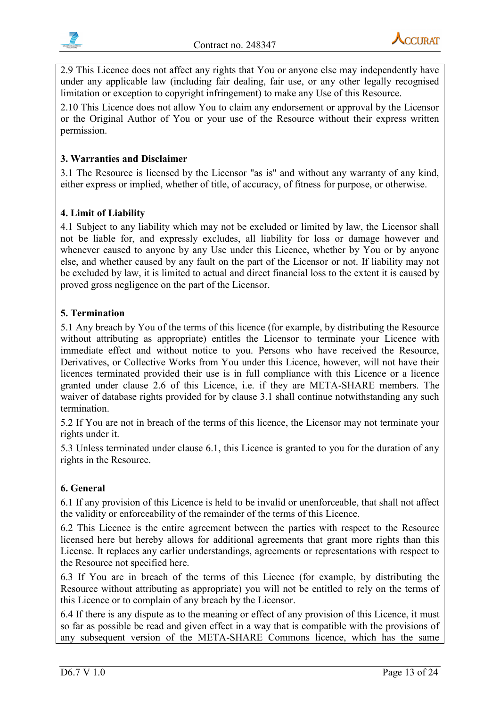



2.9 This Licence does not affect any rights that You or anyone else may independently have under any applicable law (including fair dealing, fair use, or any other legally recognised limitation or exception to copyright infringement) to make any Use of this Resource.

2.10 This Licence does not allow You to claim any endorsement or approval by the Licensor or the Original Author of You or your use of the Resource without their express written permission.

#### **3. Warranties and Disclaimer**

3.1 The Resource is licensed by the Licensor "as is" and without any warranty of any kind, either express or implied, whether of title, of accuracy, of fitness for purpose, or otherwise.

#### **4. Limit of Liability**

4.1 Subject to any liability which may not be excluded or limited by law, the Licensor shall not be liable for, and expressly excludes, all liability for loss or damage however and whenever caused to anyone by any Use under this Licence, whether by You or by anyone else, and whether caused by any fault on the part of the Licensor or not. If liability may not be excluded by law, it is limited to actual and direct financial loss to the extent it is caused by proved gross negligence on the part of the Licensor.

#### **5. Termination**

5.1 Any breach by You of the terms of this licence (for example, by distributing the Resource without attributing as appropriate) entitles the Licensor to terminate your Licence with immediate effect and without notice to you. Persons who have received the Resource, Derivatives, or Collective Works from You under this Licence, however, will not have their licences terminated provided their use is in full compliance with this Licence or a licence granted under clause 2.6 of this Licence, i.e. if they are META-SHARE members. The waiver of database rights provided for by clause 3.1 shall continue notwithstanding any such termination.

5.2 If You are not in breach of the terms of this licence, the Licensor may not terminate your rights under it.

5.3 Unless terminated under clause 6.1, this Licence is granted to you for the duration of any rights in the Resource.

#### **6. General**

6.1 If any provision of this Licence is held to be invalid or unenforceable, that shall not affect the validity or enforceability of the remainder of the terms of this Licence.

6.2 This Licence is the entire agreement between the parties with respect to the Resource licensed here but hereby allows for additional agreements that grant more rights than this License. It replaces any earlier understandings, agreements or representations with respect to the Resource not specified here.

6.3 If You are in breach of the terms of this Licence (for example, by distributing the Resource without attributing as appropriate) you will not be entitled to rely on the terms of this Licence or to complain of any breach by the Licensor.

6.4 If there is any dispute as to the meaning or effect of any provision of this Licence, it must so far as possible be read and given effect in a way that is compatible with the provisions of any subsequent version of the META-SHARE Commons licence, which has the same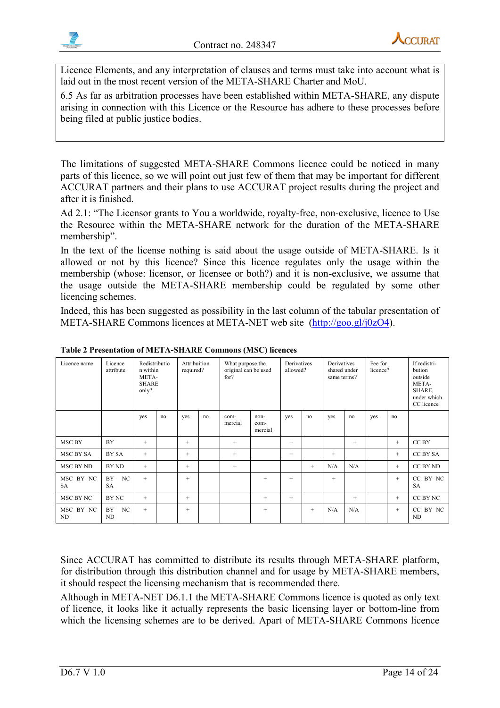



Licence Elements, and any interpretation of clauses and terms must take into account what is laid out in the most recent version of the META-SHARE Charter and MoU.

6.5 As far as arbitration processes have been established within META-SHARE, any dispute arising in connection with this Licence or the Resource has adhere to these processes before being filed at public justice bodies.

The limitations of suggested META-SHARE Commons licence could be noticed in many parts of this licence, so we will point out just few of them that may be important for different ACCURAT partners and their plans to use ACCURAT project results during the project and after it is finished.

Ad 2.1: "The Licensor grants to You a worldwide, royalty-free, non-exclusive, licence to Use the Resource within the META-SHARE network for the duration of the META-SHARE membership".

In the text of the license nothing is said about the usage outside of META-SHARE. Is it allowed or not by this licence? Since this licence regulates only the usage within the membership (whose: licensor, or licensee or both?) and it is non-exclusive, we assume that the usage outside the META-SHARE membership could be regulated by some other licencing schemes.

Indeed, this has been suggested as possibility in the last column of the tabular presentation of META-SHARE Commons licences at META-NET web site [\(http://goo.gl/j0zO4\)](http://goo.gl/j0zO4).

| Licence name           | Licence<br>attribute  | Redistributio<br>n within<br>META-<br><b>SHARE</b><br>only? |    | Attribuition<br>required? |    | What purpose the<br>original can be used<br>for? |                         | Derivatives<br>allowed? |        | Derivatives<br>shared under<br>same terms? |        | Fee for<br>licence? |        | If redistri-<br>bution<br>outside<br>META-<br>SHARE,<br>under which<br>CC licence |
|------------------------|-----------------------|-------------------------------------------------------------|----|---------------------------|----|--------------------------------------------------|-------------------------|-------------------------|--------|--------------------------------------------|--------|---------------------|--------|-----------------------------------------------------------------------------------|
|                        |                       | yes                                                         | no | yes                       | no | com-<br>mercial                                  | non-<br>com-<br>mercial | ves                     | no     | yes                                        | no     | yes                 | no     |                                                                                   |
| MSC BY                 | BY                    | $^{+}$                                                      |    | $+$                       |    | $^{+}$                                           |                         | $^{+}$                  |        |                                            | $^{+}$ |                     | $^{+}$ | CC BY                                                                             |
| MSC BY SA              | BY SA                 | $^{+}$                                                      |    | $+$                       |    | $^{+}$                                           |                         | $+$                     |        | $^{+}$                                     |        |                     | $^{+}$ | CC BY SA                                                                          |
| MSC BY ND              | BY ND                 | $+$                                                         |    | $+$                       |    | $^{+}$                                           |                         |                         | $^{+}$ | N/A                                        | N/A    |                     | $+$    | CC BY ND                                                                          |
| MSC BY NC<br><b>SA</b> | <b>BY</b><br>NC<br>SA | $^{+}$                                                      |    | $+$                       |    |                                                  | $+$                     | $+$                     |        | $+$                                        |        |                     | $^{+}$ | CC BY NC<br><b>SA</b>                                                             |
| MSC BY NC              | BY NC                 | $+$                                                         |    | $^{+}$                    |    |                                                  | $^{+}$                  | $^{+}$                  |        |                                            | $^{+}$ |                     | $^{+}$ | CC BY NC                                                                          |
| MSC BY NC<br>ND        | NC<br><b>BY</b><br>ND | $^{+}$                                                      |    | $^{+}$                    |    |                                                  | $^{+}$                  |                         | $^{+}$ | N/A                                        | N/A    |                     | $^{+}$ | CC BY NC<br>ND                                                                    |

#### **Table 2 Presentation of META-SHARE Commons (MSC) licences**

Since ACCURAT has committed to distribute its results through META-SHARE platform, for distribution through this distribution channel and for usage by META-SHARE members, it should respect the licensing mechanism that is recommended there.

Although in META-NET D6.1.1 the META-SHARE Commons licence is quoted as only text of licence, it looks like it actually represents the basic licensing layer or bottom-line from which the licensing schemes are to be derived. Apart of META-SHARE Commons licence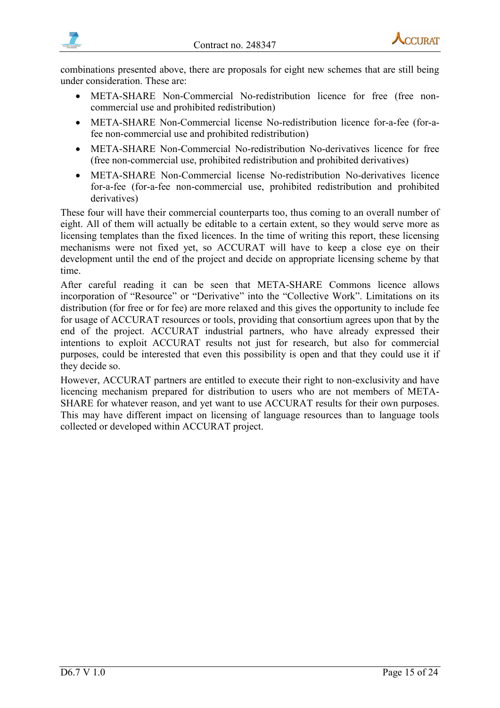



combinations presented above, there are proposals for eight new schemes that are still being under consideration. These are:

- META-SHARE Non-Commercial No-redistribution licence for free (free noncommercial use and prohibited redistribution)
- META-SHARE Non-Commercial license No-redistribution licence for-a-fee (for-afee non-commercial use and prohibited redistribution)
- META-SHARE Non-Commercial No-redistribution No-derivatives licence for free (free non-commercial use, prohibited redistribution and prohibited derivatives)
- META-SHARE Non-Commercial license No-redistribution No-derivatives licence for-a-fee (for-a-fee non-commercial use, prohibited redistribution and prohibited derivatives)

These four will have their commercial counterparts too, thus coming to an overall number of eight. All of them will actually be editable to a certain extent, so they would serve more as licensing templates than the fixed licences. In the time of writing this report, these licensing mechanisms were not fixed yet, so ACCURAT will have to keep a close eye on their development until the end of the project and decide on appropriate licensing scheme by that time.

After careful reading it can be seen that META-SHARE Commons licence allows incorporation of "Resource" or "Derivative" into the "Collective Work". Limitations on its distribution (for free or for fee) are more relaxed and this gives the opportunity to include fee for usage of ACCURAT resources or tools, providing that consortium agrees upon that by the end of the project. ACCURAT industrial partners, who have already expressed their intentions to exploit ACCURAT results not just for research, but also for commercial purposes, could be interested that even this possibility is open and that they could use it if they decide so.

However, ACCURAT partners are entitled to execute their right to non-exclusivity and have licencing mechanism prepared for distribution to users who are not members of META-SHARE for whatever reason, and yet want to use ACCURAT results for their own purposes. This may have different impact on licensing of language resources than to language tools collected or developed within ACCURAT project.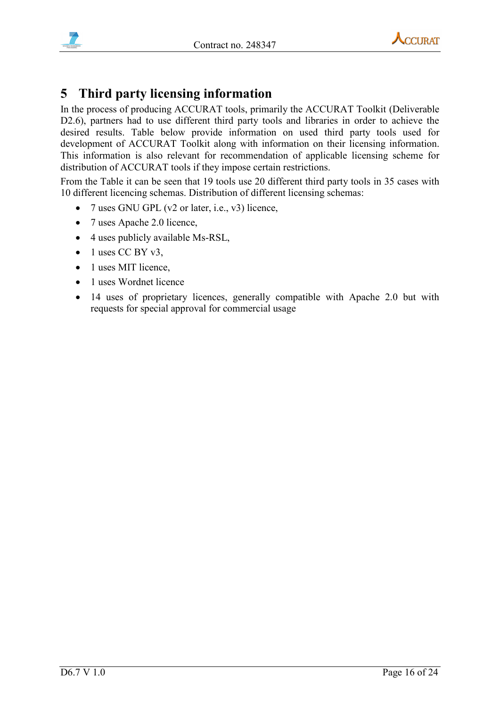



# <span id="page-15-0"></span>**5 Third party licensing information**

In the process of producing ACCURAT tools, primarily the ACCURAT Toolkit (Deliverable D2.6), partners had to use different third party tools and libraries in order to achieve the desired results. Table below provide information on used third party tools used for development of ACCURAT Toolkit along with information on their licensing information. This information is also relevant for recommendation of applicable licensing scheme for distribution of ACCURAT tools if they impose certain restrictions.

From the Table it can be seen that 19 tools use 20 different third party tools in 35 cases with 10 different licencing schemas. Distribution of different licensing schemas:

- 7 uses GNU GPL ( $v2$  or later, i.e.,  $v3$ ) licence,
- 7 uses Apache 2.0 licence,
- 4 uses publicly available Ms-RSL,
- $\bullet$  1 uses CC BY v3,
- 1 uses MIT licence.
- 1 uses Wordnet licence
- 14 uses of proprietary licences, generally compatible with Apache 2.0 but with requests for special approval for commercial usage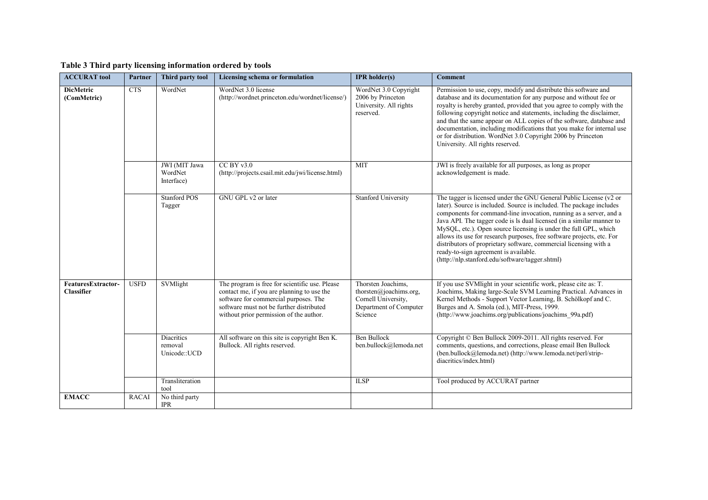| <b>ACCURAT tool</b>                     | Partner      | Third party tool                             | Licensing schema or formulation                                                                                                                                                                                              | <b>IPR</b> holder(s)                                                                                     | <b>Comment</b>                                                                                                                                                                                                                                                                                                                                                                                                                                                                                                                                                                                           |
|-----------------------------------------|--------------|----------------------------------------------|------------------------------------------------------------------------------------------------------------------------------------------------------------------------------------------------------------------------------|----------------------------------------------------------------------------------------------------------|----------------------------------------------------------------------------------------------------------------------------------------------------------------------------------------------------------------------------------------------------------------------------------------------------------------------------------------------------------------------------------------------------------------------------------------------------------------------------------------------------------------------------------------------------------------------------------------------------------|
| <b>DicMetric</b><br>(ComMetric)         | <b>CTS</b>   | WordNet                                      | WordNet 3.0 license<br>(http://wordnet.princeton.edu/wordnet/license/)                                                                                                                                                       | WordNet 3.0 Copyright<br>2006 by Princeton<br>University. All rights<br>reserved.                        | Permission to use, copy, modify and distribute this software and<br>database and its documentation for any purpose and without fee or<br>royalty is hereby granted, provided that you agree to comply with the<br>following copyright notice and statements, including the disclaimer,<br>and that the same appear on ALL copies of the software, database and<br>documentation, including modifications that you make for internal use<br>or for distribution. WordNet 3.0 Copyright 2006 by Princeton<br>University. All rights reserved.                                                              |
|                                         |              | JWI (MIT Jawa<br>WordNet<br>Interface)       | $CC$ BY $v3.0$<br>(http://projects.csail.mit.edu/jwi/license.html)                                                                                                                                                           | <b>MIT</b>                                                                                               | JWI is freely available for all purposes, as long as proper<br>acknowledgement is made.                                                                                                                                                                                                                                                                                                                                                                                                                                                                                                                  |
|                                         |              | <b>Stanford POS</b><br>Tagger                | GNU GPL v2 or later                                                                                                                                                                                                          | <b>Stanford University</b>                                                                               | The tagger is licensed under the GNU General Public License (v2 or<br>later). Source is included. Source is included. The package includes<br>components for command-line invocation, running as a server, and a<br>Java API. The tagger code is ls dual licensed (in a similar manner to<br>MySQL, etc.). Open source licensing is under the full GPL, which<br>allows its use for research purposes, free software projects, etc. For<br>distributors of proprietary software, commercial licensing with a<br>ready-to-sign agreement is available.<br>(http://nlp.stanford.edu/software/tagger.shtml) |
| FeaturesExtractor-<br><b>Classifier</b> | <b>USFD</b>  | SVMlight                                     | The program is free for scientific use. Please<br>contact me, if you are planning to use the<br>software for commercial purposes. The<br>software must not be further distributed<br>without prior permission of the author. | Thorsten Joachims,<br>thorsten@joachims.org,<br>Cornell University,<br>Department of Computer<br>Science | If you use SVMlight in your scientific work, please cite as: T.<br>Joachims, Making large-Scale SVM Learning Practical. Advances in<br>Kernel Methods - Support Vector Learning, B. Schölkopf and C.<br>Burges and A. Smola (ed.), MIT-Press, 1999.<br>(http://www.joachims.org/publications/joachims 99a.pdf)                                                                                                                                                                                                                                                                                           |
|                                         |              | <b>Diacritics</b><br>removal<br>Unicode::UCD | All software on this site is copyright Ben K.<br>Bullock. All rights reserved.                                                                                                                                               | <b>Ben Bullock</b><br>ben.bullock@lemoda.net                                                             | Copyright © Ben Bullock 2009-2011. All rights reserved. For<br>comments, questions, and corrections, please email Ben Bullock<br>(ben.bullock@lemoda.net) (http://www.lemoda.net/perl/strip-<br>diacritics/index.html)                                                                                                                                                                                                                                                                                                                                                                                   |
|                                         |              | Transliteration<br>tool                      |                                                                                                                                                                                                                              | <b>ILSP</b>                                                                                              | Tool produced by ACCURAT partner                                                                                                                                                                                                                                                                                                                                                                                                                                                                                                                                                                         |
| <b>EMACC</b>                            | <b>RACAI</b> | No third party<br><b>IPR</b>                 |                                                                                                                                                                                                                              |                                                                                                          |                                                                                                                                                                                                                                                                                                                                                                                                                                                                                                                                                                                                          |

#### **Table 3 Third party licensing information ordered by tools**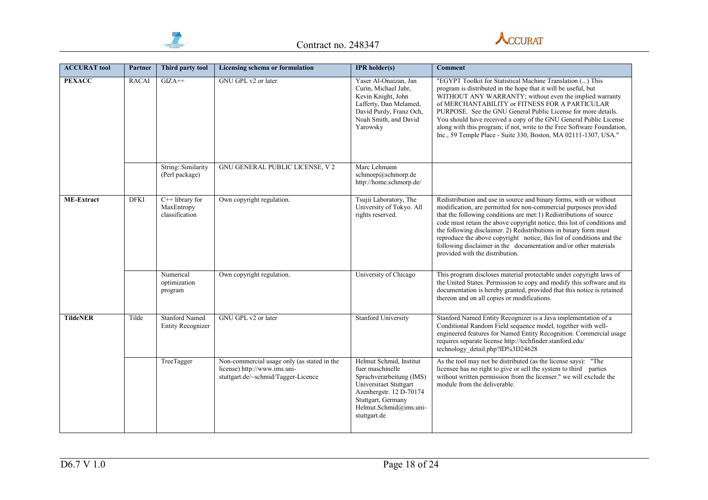



| <b>ACCURAT tool</b> | Partner      | Third party tool                                  | Licensing schema or formulation                                                                                    | <b>IPR</b> holder(s)                                                                                                                                                                         | <b>Comment</b>                                                                                                                                                                                                                                                                                                                                                                                                                                                                                                                               |
|---------------------|--------------|---------------------------------------------------|--------------------------------------------------------------------------------------------------------------------|----------------------------------------------------------------------------------------------------------------------------------------------------------------------------------------------|----------------------------------------------------------------------------------------------------------------------------------------------------------------------------------------------------------------------------------------------------------------------------------------------------------------------------------------------------------------------------------------------------------------------------------------------------------------------------------------------------------------------------------------------|
| <b>PEXACC</b>       | <b>RACAI</b> | $GIZA++$                                          | GNU GPL v2 or later                                                                                                | Yaser Al-Onaizan, Jan<br>Curin, Michael Jahr,<br>Kevin Knight, John<br>Lafferty, Dan Melamed,<br>David Purdy, Franz Och,<br>Noah Smith, and David<br>Yarowsky                                | "EGYPT Toolkit for Statistical Machine Translation () This<br>program is distributed in the hope that it will be useful, but<br>WITHOUT ANY WARRANTY; without even the implied warranty<br>of MERCHANTABILITY or FITNESS FOR A PARTICULAR<br>PURPOSE. See the GNU General Public License for more details.<br>You should have received a copy of the GNU General Public License<br>along with this program; if not, write to the Free Software Foundation,<br>Inc., 59 Temple Place - Suite 330, Boston, MA 02111-1307, USA."                |
|                     |              | String::Similarity<br>(Perl package)              | GNU GENERAL PUBLIC LICENSE, V 2                                                                                    | Marc Lehmann<br>schmorp@schmorp.de<br>http://home.schmorp.de/                                                                                                                                |                                                                                                                                                                                                                                                                                                                                                                                                                                                                                                                                              |
| <b>ME-Extract</b>   | <b>DFKI</b>  | $C++$ library for<br>MaxEntropy<br>classification | Own copyright regulation.                                                                                          | Tsujii Laboratory, The<br>University of Tokyo. All<br>rights reserved.                                                                                                                       | Redistribution and use in source and binary forms, with or without<br>modification, are permitted for non-commercial purposes provided<br>that the following conditions are met:1) Redistributions of source<br>code must retain the above copyright notice, this list of conditions and<br>the following disclaimer. 2) Redistributions in binary form must<br>reproduce the above copyright notice, this list of conditions and the<br>following disclaimer in the documentation and/or other materials<br>provided with the distribution. |
|                     |              | Numerical<br>optimization<br>program              | Own copyright regulation.                                                                                          | University of Chicago                                                                                                                                                                        | This program discloses material protectable under copyright laws of<br>the United States. Permission to copy and modify this software and its<br>documentation is hereby granted, provided that this notice is retained<br>thereon and on all copies or modifications.                                                                                                                                                                                                                                                                       |
| <b>TildeNER</b>     | Tilde        | <b>Stanford Named</b><br><b>Entity Recognizer</b> | GNU GPL v2 or later                                                                                                | <b>Stanford University</b>                                                                                                                                                                   | Stanford Named Entity Recognizer is a Java implementation of a<br>Conditional Random Field sequence model, together with well-<br>engineered features for Named Entity Recognition. Commercial usage<br>requires separate license http://techfinder.stanford.edu/<br>technology detail.php?ID%3D24628                                                                                                                                                                                                                                        |
|                     |              | TreeTagger                                        | Non-commercial usage only (as stated in the<br>license) http://www.ims.uni-<br>stuttgart.de/~schmid/Tagger-Licence | Helmut Schmid, Institut<br>fuer maschinelle<br>Sprachverarbeitung (IMS)<br>Universitaet Stuttgart<br>Azenbergstr. 12 D-70174<br>Stuttgart, Germany<br>Helmut.Schmid@ims.uni-<br>stuttgart.de | As the tool may not be distributed (as the license says):<br>"The<br>licensee has no right to give or sell the system to third parties<br>without written permission from the licenser." we will exclude the<br>module from the deliverable.                                                                                                                                                                                                                                                                                                 |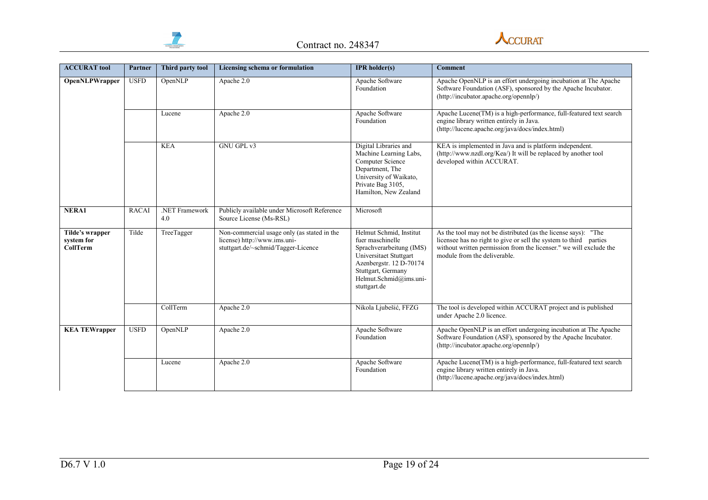



| <b>ACCURAT</b> tool                              | Partner      | Third party tool      | Licensing schema or formulation                                                                                    | <b>IPR</b> holder(s)                                                                                                                                                                         | <b>Comment</b>                                                                                                                                                                                                                            |
|--------------------------------------------------|--------------|-----------------------|--------------------------------------------------------------------------------------------------------------------|----------------------------------------------------------------------------------------------------------------------------------------------------------------------------------------------|-------------------------------------------------------------------------------------------------------------------------------------------------------------------------------------------------------------------------------------------|
| <b>OpenNLPWrapper</b>                            | <b>USFD</b>  | OpenNLP               | Apache 2.0                                                                                                         | Apache Software<br>Foundation                                                                                                                                                                | Apache OpenNLP is an effort undergoing incubation at The Apache<br>Software Foundation (ASF), sponsored by the Apache Incubator.<br>(http://incubator.apache.org/opennlp/)                                                                |
|                                                  |              | Lucene                | Apache 2.0                                                                                                         | Apache Software<br>Foundation                                                                                                                                                                | Apache Lucene(TM) is a high-performance, full-featured text search<br>engine library written entirely in Java.<br>(http://lucene.apache.org/java/docs/index.html)                                                                         |
|                                                  |              | <b>KEA</b>            | GNU GPL v3                                                                                                         | Digital Libraries and<br>Machine Learning Labs,<br>Computer Science<br>Department, The<br>University of Waikato,<br>Private Bag 3105,<br>Hamilton, New Zealand                               | KEA is implemented in Java and is platform independent.<br>(http://www.nzdl.org/Kea/) It will be replaced by another tool<br>developed within ACCURAT.                                                                                    |
| NERA1                                            | <b>RACAI</b> | .NET Framework<br>4.0 | Publicly available under Microsoft Reference<br>Source License (Ms-RSL)                                            | Microsoft                                                                                                                                                                                    |                                                                                                                                                                                                                                           |
| Tilde's wrapper<br>system for<br><b>CollTerm</b> | Tilde        | TreeTagger            | Non-commercial usage only (as stated in the<br>license) http://www.ims.uni-<br>stuttgart.de/~schmid/Tagger-Licence | Helmut Schmid, Institut<br>fuer maschinelle<br>Sprachverarbeitung (IMS)<br>Universitaet Stuttgart<br>Azenbergstr. 12 D-70174<br>Stuttgart, Germany<br>Helmut.Schmid@ims.uni-<br>stuttgart.de | As the tool may not be distributed (as the license says): "The<br>licensee has no right to give or sell the system to third parties<br>without written permission from the licenser." we will exclude the<br>module from the deliverable. |
|                                                  |              | CollTerm              | Apache 2.0                                                                                                         | Nikola Ljubešić, FFZG                                                                                                                                                                        | The tool is developed within ACCURAT project and is published<br>under Apache 2.0 licence.                                                                                                                                                |
| <b>KEA TEWrapper</b>                             | <b>USFD</b>  | OpenNLP               | Apache 2.0                                                                                                         | Apache Software<br>Foundation                                                                                                                                                                | Apache OpenNLP is an effort undergoing incubation at The Apache<br>Software Foundation (ASF), sponsored by the Apache Incubator.<br>(http://incubator.apache.org/opennlp/)                                                                |
|                                                  |              | Lucene                | Apache 2.0                                                                                                         | Apache Software<br>Foundation                                                                                                                                                                | Apache Lucene(TM) is a high-performance, full-featured text search<br>engine library written entirely in Java.<br>(http://lucene.apache.org/java/docs/index.html)                                                                         |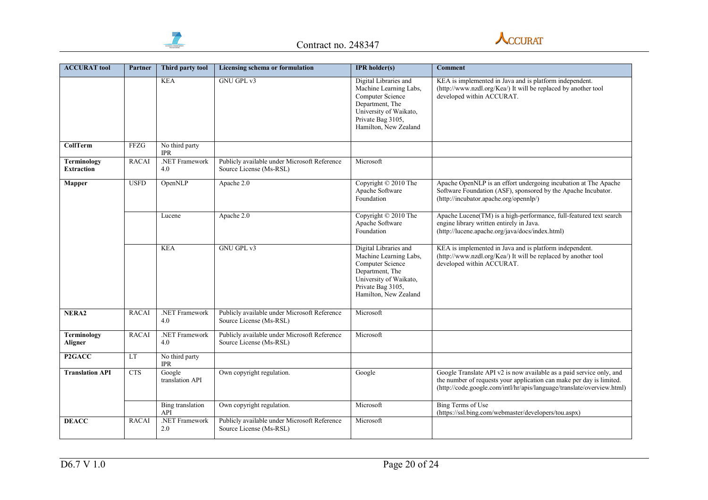



| <b>ACCURAT tool</b>                     | Partner      | Third party tool             | Licensing schema or formulation                                         | <b>IPR</b> holder(s)                                                                                                                                           | <b>Comment</b>                                                                                                                                                                                                         |
|-----------------------------------------|--------------|------------------------------|-------------------------------------------------------------------------|----------------------------------------------------------------------------------------------------------------------------------------------------------------|------------------------------------------------------------------------------------------------------------------------------------------------------------------------------------------------------------------------|
|                                         |              | <b>KEA</b>                   | <b>GNU GPL v3</b>                                                       | Digital Libraries and<br>Machine Learning Labs,<br>Computer Science<br>Department, The<br>University of Waikato,<br>Private Bag 3105,<br>Hamilton, New Zealand | KEA is implemented in Java and is platform independent.<br>(http://www.nzdl.org/Kea/) It will be replaced by another tool<br>developed within ACCURAT.                                                                 |
| <b>CollTerm</b>                         | <b>FFZG</b>  | No third party<br><b>IPR</b> |                                                                         |                                                                                                                                                                |                                                                                                                                                                                                                        |
| <b>Terminology</b><br><b>Extraction</b> | <b>RACAI</b> | .NET Framework<br>4.0        | Publicly available under Microsoft Reference<br>Source License (Ms-RSL) | Microsoft                                                                                                                                                      |                                                                                                                                                                                                                        |
| <b>Mapper</b>                           | <b>USFD</b>  | OpenNLP                      | Apache 2.0                                                              | Copyright © 2010 The<br>Apache Software<br>Foundation                                                                                                          | Apache OpenNLP is an effort undergoing incubation at The Apache<br>Software Foundation (ASF), sponsored by the Apache Incubator.<br>(http://incubator.apache.org/opennlp/)                                             |
|                                         |              | Lucene                       | Apache 2.0                                                              | Copyright © 2010 The<br>Apache Software<br>Foundation                                                                                                          | Apache Lucene(TM) is a high-performance, full-featured text search<br>engine library written entirely in Java.<br>(http://lucene.apache.org/java/docs/index.html)                                                      |
|                                         |              | <b>KEA</b>                   | <b>GNU GPL v3</b>                                                       | Digital Libraries and<br>Machine Learning Labs.<br>Computer Science<br>Department, The<br>University of Waikato,<br>Private Bag 3105,<br>Hamilton, New Zealand | KEA is implemented in Java and is platform independent.<br>(http://www.nzdl.org/Kea/) It will be replaced by another tool<br>developed within ACCURAT.                                                                 |
| NERA <sub>2</sub>                       | <b>RACAI</b> | .NET Framework<br>4.0        | Publicly available under Microsoft Reference<br>Source License (Ms-RSL) | Microsoft                                                                                                                                                      |                                                                                                                                                                                                                        |
| Terminology<br>Aligner                  | <b>RACAI</b> | .NET Framework<br>4.0        | Publicly available under Microsoft Reference<br>Source License (Ms-RSL) | Microsoft                                                                                                                                                      |                                                                                                                                                                                                                        |
| P2GACC                                  | LT           | No third party<br><b>IPR</b> |                                                                         |                                                                                                                                                                |                                                                                                                                                                                                                        |
| <b>Translation API</b>                  | <b>CTS</b>   | Google<br>translation API    | Own copyright regulation.                                               | Google                                                                                                                                                         | Google Translate API v2 is now available as a paid service only, and<br>the number of requests your application can make per day is limited.<br>(http://code.google.com/intl/hr/apis/language/translate/overview.html) |
|                                         |              | Bing translation<br>API      | Own copyright regulation.                                               | Microsoft                                                                                                                                                      | <b>Bing Terms of Use</b><br>(https://ssl.bing.com/webmaster/developers/tou.aspx)                                                                                                                                       |
| <b>DEACC</b>                            | <b>RACAI</b> | .NET Framework<br>2.0        | Publicly available under Microsoft Reference<br>Source License (Ms-RSL) | Microsoft                                                                                                                                                      |                                                                                                                                                                                                                        |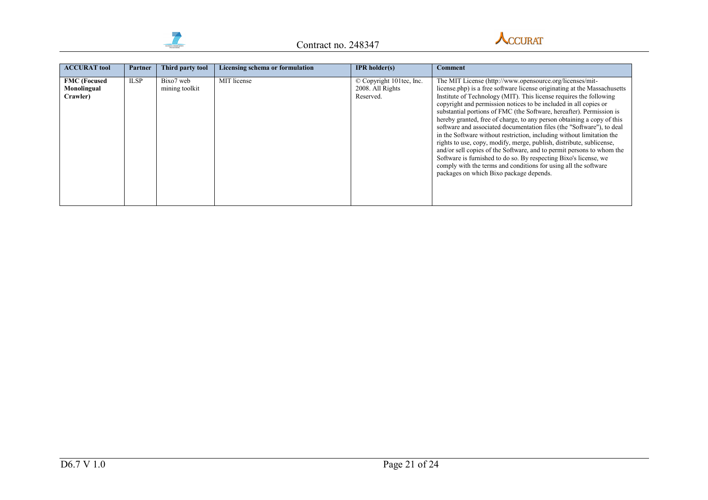



| <b>ACCURAT tool</b>                            | Partner     | Third party tool            | Licensing schema or formulation | <b>IPR</b> holder(s)                                      | <b>Comment</b>                                                                                                                                                                                                                                                                                                                                                                                                                                                                                                                                                                                                                                                                                                                                                                                                                                                                                                        |
|------------------------------------------------|-------------|-----------------------------|---------------------------------|-----------------------------------------------------------|-----------------------------------------------------------------------------------------------------------------------------------------------------------------------------------------------------------------------------------------------------------------------------------------------------------------------------------------------------------------------------------------------------------------------------------------------------------------------------------------------------------------------------------------------------------------------------------------------------------------------------------------------------------------------------------------------------------------------------------------------------------------------------------------------------------------------------------------------------------------------------------------------------------------------|
| <b>FMC</b> (Focused<br>Monolingual<br>Crawler) | <b>ILSP</b> | Bixo7 web<br>mining toolkit | MIT license                     | © Copyright 101tec, Inc.<br>2008. All Rights<br>Reserved. | The MIT License (http://www.opensource.org/licenses/mit-<br>license.php) is a free software license originating at the Massachusetts<br>Institute of Technology (MIT). This license requires the following<br>copyright and permission notices to be included in all copies or<br>substantial portions of FMC (the Software, hereafter). Permission is<br>hereby granted, free of charge, to any person obtaining a copy of this<br>software and associated documentation files (the "Software"), to deal<br>in the Software without restriction, including without limitation the<br>rights to use, copy, modify, merge, publish, distribute, sublicense,<br>and/or sell copies of the Software, and to permit persons to whom the<br>Software is furnished to do so. By respecting Bixo's license, we<br>comply with the terms and conditions for using all the software<br>packages on which Bixo package depends. |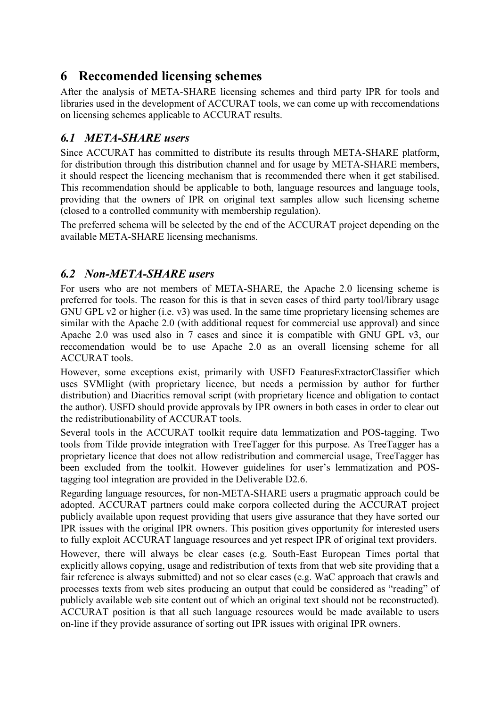# <span id="page-21-0"></span>**6 Reccomended licensing schemes**

After the analysis of META-SHARE licensing schemes and third party IPR for tools and libraries used in the development of ACCURAT tools, we can come up with reccomendations on licensing schemes applicable to ACCURAT results.

# <span id="page-21-1"></span>*6.1 META-SHARE users*

Since ACCURAT has committed to distribute its results through META-SHARE platform, for distribution through this distribution channel and for usage by META-SHARE members, it should respect the licencing mechanism that is recommended there when it get stabilised. This recommendation should be applicable to both, language resources and language tools, providing that the owners of IPR on original text samples allow such licensing scheme (closed to a controlled community with membership regulation).

The preferred schema will be selected by the end of the ACCURAT project depending on the available META-SHARE licensing mechanisms.

### <span id="page-21-2"></span>*6.2 Non-META-SHARE users*

For users who are not members of META-SHARE, the Apache 2.0 licensing scheme is preferred for tools. The reason for this is that in seven cases of third party tool/library usage GNU GPL v2 or higher (i.e. v3) was used. In the same time proprietary licensing schemes are similar with the Apache 2.0 (with additional request for commercial use approval) and since Apache 2.0 was used also in 7 cases and since it is compatible with GNU GPL v3, our reccomendation would be to use Apache 2.0 as an overall licensing scheme for all ACCURAT tools.

However, some exceptions exist, primarily with USFD FeaturesExtractorClassifier which uses SVMlight (with proprietary licence, but needs a permission by author for further distribution) and Diacritics removal script (with proprietary licence and obligation to contact the author). USFD should provide approvals by IPR owners in both cases in order to clear out the redistributionability of ACCURAT tools.

Several tools in the ACCURAT toolkit require data lemmatization and POS-tagging. Two tools from Tilde provide integration with TreeTagger for this purpose. As TreeTagger has a proprietary licence that does not allow redistribution and commercial usage, TreeTagger has been excluded from the toolkit. However guidelines for user's lemmatization and POStagging tool integration are provided in the Deliverable D2.6.

Regarding language resources, for non-META-SHARE users a pragmatic approach could be adopted. ACCURAT partners could make corpora collected during the ACCURAT project publicly available upon request providing that users give assurance that they have sorted our IPR issues with the original IPR owners. This position gives opportunity for interested users to fully exploit ACCURAT language resources and yet respect IPR of original text providers.

However, there will always be clear cases (e.g. South-East European Times portal that explicitly allows copying, usage and redistribution of texts from that web site providing that a fair reference is always submitted) and not so clear cases (e.g. WaC approach that crawls and processes texts from web sites producing an output that could be considered as "reading" of publicly available web site content out of which an original text should not be reconstructed). ACCURAT position is that all such language resources would be made available to users on-line if they provide assurance of sorting out IPR issues with original IPR owners.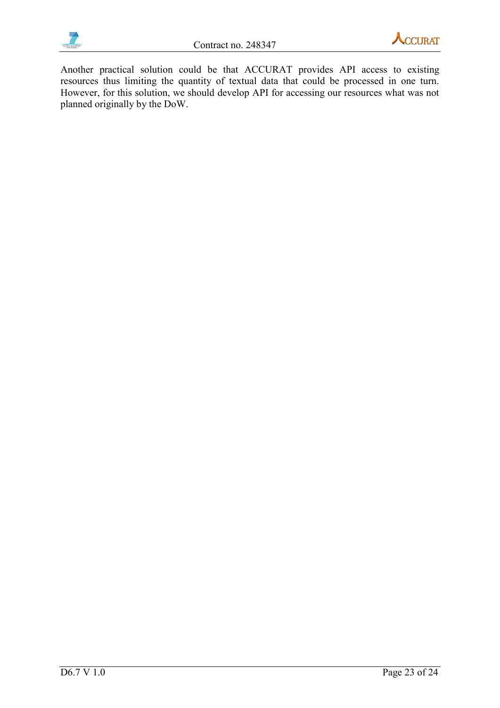



Another practical solution could be that ACCURAT provides API access to existing resources thus limiting the quantity of textual data that could be processed in one turn. However, for this solution, we should develop API for accessing our resources what was not planned originally by the DoW.